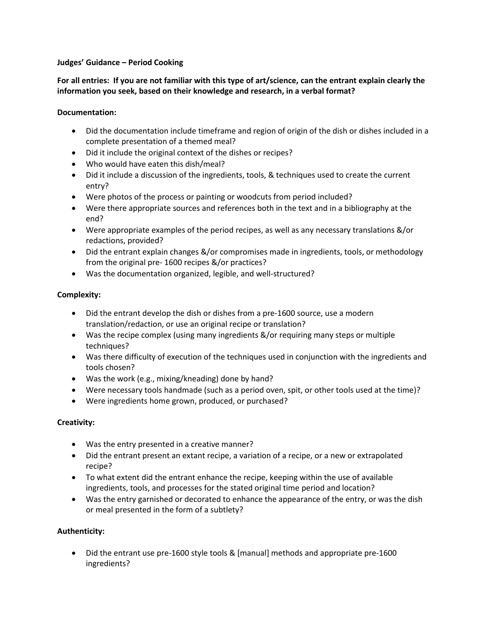## **Judges' Guidance – Period Cooking**

**For all entries: If you are not familiar with this type of art/science, can the entrant explain clearly the information you seek, based on their knowledge and research, in a verbal format?** 

## **Documentation:**

- Did the documentation include timeframe and region of origin of the dish or dishes included in a complete presentation of a themed meal?
- Did it include the original context of the dishes or recipes?
- Who would have eaten this dish/meal?
- Did it include a discussion of the ingredients, tools, & techniques used to create the current entry?
- Were photos of the process or painting or woodcuts from period included?
- Were there appropriate sources and references both in the text and in a bibliography at the end?
- Were appropriate examples of the period recipes, as well as any necessary translations &/or redactions, provided?
- Did the entrant explain changes &/or compromises made in ingredients, tools, or methodology from the original pre- 1600 recipes &/or practices?
- Was the documentation organized, legible, and well-structured?

# **Complexity:**

- Did the entrant develop the dish or dishes from a pre-1600 source, use a modern translation/redaction, or use an original recipe or translation?
- Was the recipe complex (using many ingredients &/or requiring many steps or multiple techniques?
- Was there difficulty of execution of the techniques used in conjunction with the ingredients and tools chosen?
- Was the work (e.g., mixing/kneading) done by hand?
- Were necessary tools handmade (such as a period oven, spit, or other tools used at the time)?
- Were ingredients home grown, produced, or purchased?

# **Creativity:**

- Was the entry presented in a creative manner?
- Did the entrant present an extant recipe, a variation of a recipe, or a new or extrapolated recipe?
- To what extent did the entrant enhance the recipe, keeping within the use of available ingredients, tools, and processes for the stated original time period and location?
- Was the entry garnished or decorated to enhance the appearance of the entry, or was the dish or meal presented in the form of a subtlety?

# **Authenticity:**

 Did the entrant use pre-1600 style tools & [manual] methods and appropriate pre-1600 ingredients?